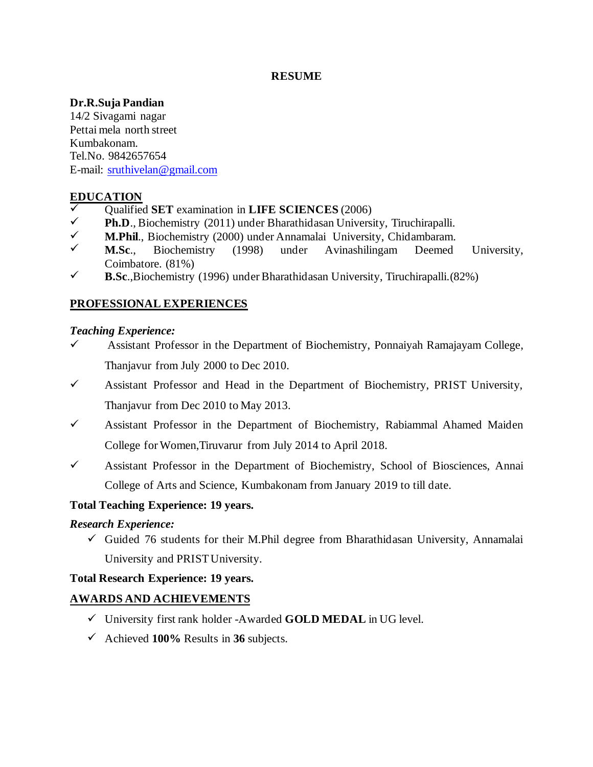### **RESUME**

### **Dr.R.Suja Pandian**

14/2 Sivagami nagar Pettai mela north street Kumbakonam. Tel.No. 9842657654 E-mail: [sruthivelan@gmail.com](mailto:sruthivelan@gmail.com)

# **EDUCATION**

- ✓ Qualified **SET** examination in **LIFE SCIENCES** (2006)
- **Ph.D.**, Biochemistry (2011) under Bharathidasan University, Tiruchirapalli.
- ✓ **M.Phil**., Biochemistry (2000) under Annamalai University, Chidambaram.
- ✓ **M.Sc**., Biochemistry (1998) under Avinashilingam Deemed University, Coimbatore. (81%)
- $\checkmark$  **B.Sc.**,Biochemistry (1996) under Bharathidasan University, Tiruchirapalli.(82%)

# **PROFESSIONAL EXPERIENCES**

### *Teaching Experience:*

- $\checkmark$  Assistant Professor in the Department of Biochemistry, Ponnaiyah Ramajayam College, Thanjavur from July 2000 to Dec 2010.
- ✓ Assistant Professor and Head in the Department of Biochemistry, PRIST University, Thanjavur from Dec 2010 to May 2013.
- ✓ Assistant Professor in the Department of Biochemistry, Rabiammal Ahamed Maiden College for Women,Tiruvarur from July 2014 to April 2018.
- ✓ Assistant Professor in the Department of Biochemistry, School of Biosciences, Annai College of Arts and Science, Kumbakonam from January 2019 to till date.

# **Total Teaching Experience: 19 years.**

# *Research Experience:*

 $\checkmark$  Guided 76 students for their M.Phil degree from Bharathidasan University, Annamalai University and PRIST University.

### **Total Research Experience: 19 years.**

# **AWARDS AND ACHIEVEMENTS**

- ✓ University first rank holder -Awarded **GOLD MEDAL** in UG level.
- ✓ Achieved **100%** Results in **36** subjects.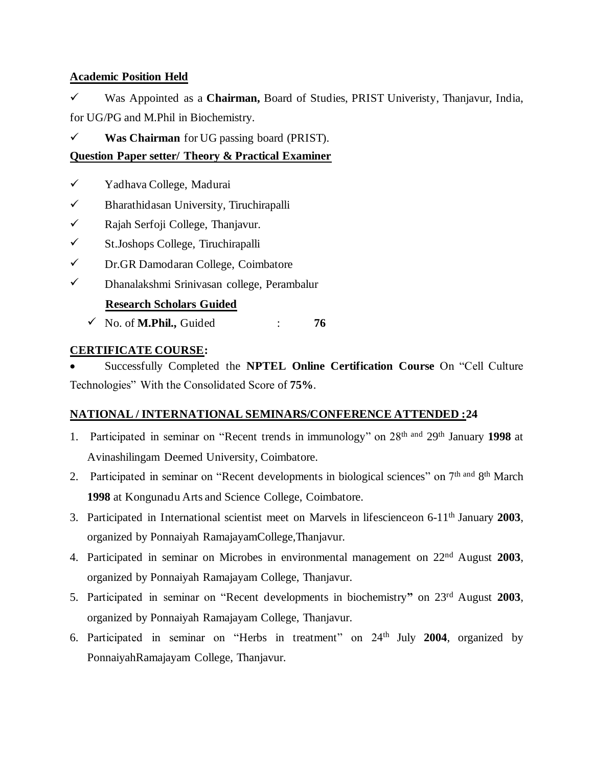# **Academic Position Held**

✓ Was Appointed as a **Chairman,** Board of Studies, PRIST Univeristy, Thanjavur, India, for UG/PG and M.Phil in Biochemistry.

✓ **Was Chairman** for UG passing board (PRIST).

# **Question Paper setter/ Theory & Practical Examiner**

- ✓ Yadhava College, Madurai
- ✓ Bharathidasan University, Tiruchirapalli
- ✓ Rajah Serfoji College, Thanjavur.
- ✓ St.Joshops College, Tiruchirapalli
- ✓ Dr.GR Damodaran College, Coimbatore
- ✓ Dhanalakshmi Srinivasan college, Perambalur

# **Research Scholars Guided**

 $\checkmark$  No. of **M.Phil.**, Guided : **76** 

# **CERTIFICATE COURSE:**

• Successfully Completed the **NPTEL Online Certification Course** On "Cell Culture Technologies" With the Consolidated Score of **75%**.

# **NATIONAL / INTERNATIONAL SEMINARS/CONFERENCE ATTENDED :24**

- 1. Participated in seminar on "Recent trends in immunology" on 28th and 29th January **1998** at Avinashilingam Deemed University, Coimbatore.
- 2. Participated in seminar on "Recent developments in biological sciences" on 7<sup>th and</sup> 8<sup>th</sup> March **1998** at Kongunadu Arts and Science College, Coimbatore.
- 3. Participated in International scientist meet on Marvels in lifescienceon 6-11th January **2003**, organized by Ponnaiyah RamajayamCollege,Thanjavur.
- 4. Participated in seminar on Microbes in environmental management on 22nd August **2003**, organized by Ponnaiyah Ramajayam College, Thanjavur.
- 5. Participated in seminar on "Recent developments in biochemistry**"** on 23rd August **2003**, organized by Ponnaiyah Ramajayam College, Thanjavur.
- 6. Participated in seminar on "Herbs in treatment" on 24th July **2004**, organized by PonnaiyahRamajayam College, Thanjavur.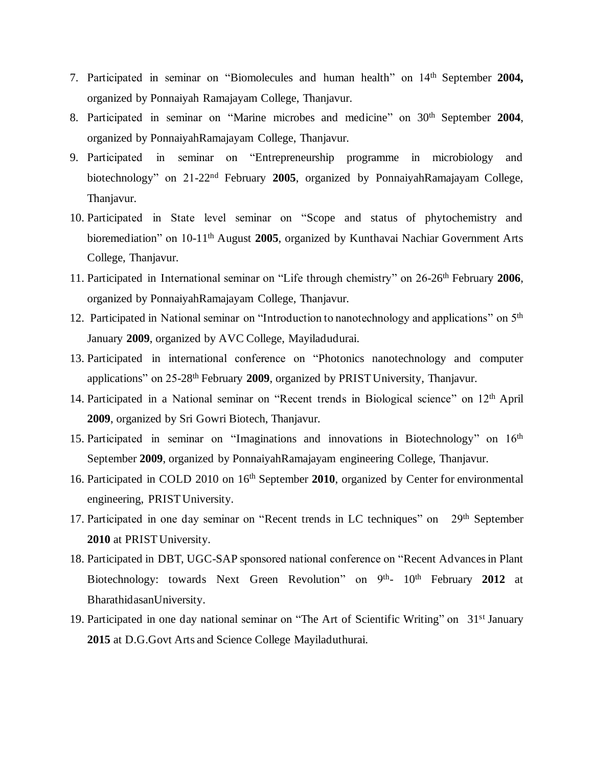- 7. Participated in seminar on "Biomolecules and human health" on 14th September **2004,** organized by Ponnaiyah Ramajayam College, Thanjavur.
- 8. Participated in seminar on "Marine microbes and medicine" on 30th September **2004**, organized by PonnaiyahRamajayam College, Thanjavur.
- 9. Participated in seminar on "Entrepreneurship programme in microbiology and biotechnology" on 21-22nd February **2005**, organized by PonnaiyahRamajayam College, Thaniavur.
- 10. Participated in State level seminar on "Scope and status of phytochemistry and bioremediation" on 10-11th August **2005**, organized by Kunthavai Nachiar Government Arts College, Thanjavur.
- 11. Participated in International seminar on "Life through chemistry" on 26-26 th February **2006**, organized by PonnaiyahRamajayam College, Thanjavur.
- 12. Participated in National seminar on "Introduction to nanotechnology and applications" on 5<sup>th</sup> January **2009**, organized by AVC College, Mayiladudurai.
- 13. Participated in international conference on "Photonics nanotechnology and computer applications" on 25-28th February **2009**, organized by PRIST University, Thanjavur.
- 14. Participated in a National seminar on "Recent trends in Biological science" on 12<sup>th</sup> April **2009**, organized by Sri Gowri Biotech, Thanjavur.
- 15. Participated in seminar on "Imaginations and innovations in Biotechnology" on 16<sup>th</sup> September **2009**, organized by PonnaiyahRamajayam engineering College, Thanjavur.
- 16. Participated in COLD 2010 on 16<sup>th</sup> September 2010, organized by Center for environmental engineering, PRIST University.
- 17. Participated in one day seminar on "Recent trends in LC techniques" on 29<sup>th</sup> September **2010** at PRIST University.
- 18. Participated in DBT, UGC-SAP sponsored national conference on "Recent Advances in Plant Biotechnology: towards Next Green Revolution" on 9<sup>th</sup>- 10<sup>th</sup> February 2012 at BharathidasanUniversity.
- 19. Participated in one day national seminar on "The Art of Scientific Writing" on 31<sup>st</sup> January **2015** at D.G.Govt Arts and Science College Mayiladuthurai.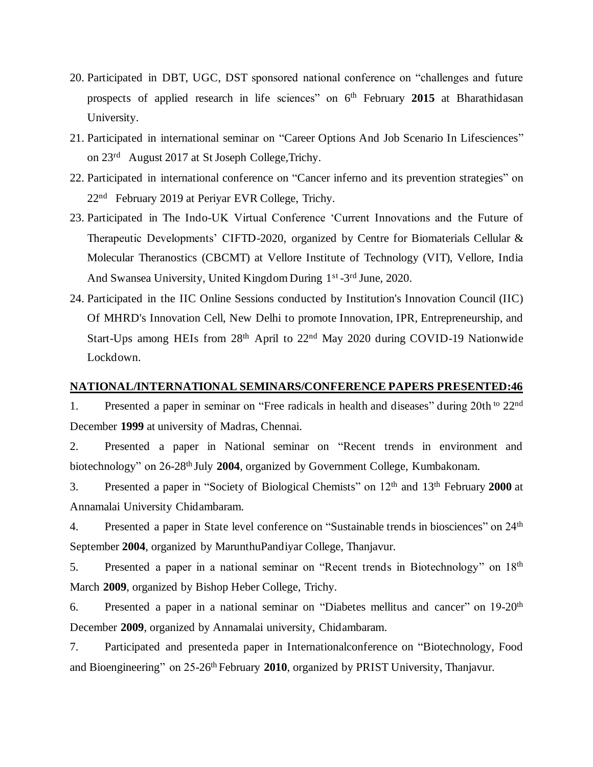- 20. Participated in DBT, UGC, DST sponsored national conference on "challenges and future prospects of applied research in life sciences" on 6<sup>th</sup> February 2015 at Bharathidasan University.
- 21. Participated in international seminar on "Career Options And Job Scenario In Lifesciences" on 23<sup>rd</sup> August 2017 at St Joseph College, Trichy.
- 22. Participated in international conference on "Cancer inferno and its prevention strategies" on 22<sup>nd</sup> February 2019 at Periyar EVR College, Trichy.
- 23. Participated in The Indo-UK Virtual Conference 'Current Innovations and the Future of Therapeutic Developments' CIFTD-2020, organized by Centre for Biomaterials Cellular & Molecular Theranostics (CBCMT) at Vellore Institute of Technology (VIT), Vellore, India And Swansea University, United Kingdom During 1<sup>st</sup>-3<sup>rd</sup> June, 2020.
- 24. Participated in the IIC Online Sessions conducted by Institution's Innovation Council (IIC) Of MHRD's Innovation Cell, New Delhi to promote Innovation, IPR, Entrepreneurship, and Start-Ups among HEIs from 28<sup>th</sup> April to 22<sup>nd</sup> May 2020 during COVID-19 Nationwide Lockdown.

#### **NATIONAL/INTERNATIONAL SEMINARS/CONFERENCE PAPERS PRESENTED:46**

1. Presented a paper in seminar on "Free radicals in health and diseases" during 20th <sup>to</sup> 22<sup>nd</sup> December **1999** at university of Madras, Chennai.

2. Presented a paper in National seminar on "Recent trends in environment and biotechnology" on 26-28<sup>th</sup> July 2004, organized by Government College, Kumbakonam.

3. Presented a paper in "Society of Biological Chemists" on 12th and 13th February **2000** at Annamalai University Chidambaram.

4. Presented a paper in State level conference on "Sustainable trends in biosciences" on 24<sup>th</sup> September **2004**, organized by MarunthuPandiyar College, Thanjavur.

5. Presented a paper in a national seminar on "Recent trends in Biotechnology" on 18th March **2009**, organized by Bishop Heber College, Trichy.

6. Presented a paper in a national seminar on "Diabetes mellitus and cancer" on 19-20th December **2009**, organized by Annamalai university, Chidambaram.

7. Participated and presenteda paper in Internationalconference on "Biotechnology, Food and Bioengineering" on 25-26<sup>th</sup> February 2010, organized by PRIST University, Thanjavur.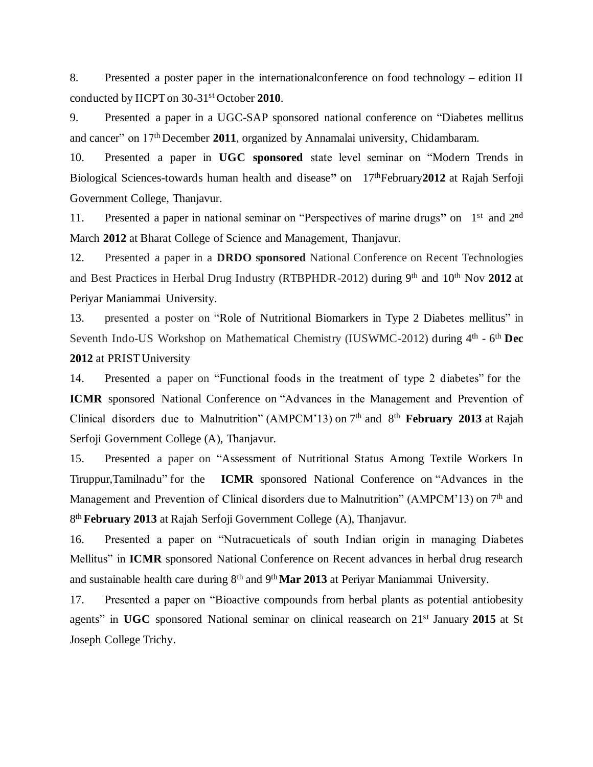8. Presented a poster paper in the internationalconference on food technology – edition II conducted by IICPT on 30-31st October **2010**.

9. Presented a paper in a UGC-SAP sponsored national conference on "Diabetes mellitus and cancer" on 17th December **2011**, organized by Annamalai university, Chidambaram.

10. Presented a paper in **UGC sponsored** state level seminar on "Modern Trends in Biological Sciences-towards human health and disease" on 17<sup>th</sup>February 2012 at Rajah Serfoji Government College, Thanjavur.

11. Presented a paper in national seminar on "Perspectives of marine drugs" on 1<sup>st</sup> and 2<sup>nd</sup> March **2012** at Bharat College of Science and Management, Thanjavur.

12. Presented a paper in a **DRDO sponsored** National Conference on Recent Technologies and Best Practices in Herbal Drug Industry (RTBPHDR-2012) during 9th and 10th Nov **2012** at Periyar Maniammai University.

13. presented a poster on "Role of Nutritional Biomarkers in Type 2 Diabetes mellitus" in Seventh Indo-US Workshop on Mathematical Chemistry (IUSWMC-2012) during 4<sup>th</sup> - 6<sup>th</sup> Dec **2012** at PRIST University

14. Presented a paper on "Functional foods in the treatment of type 2 diabetes" for the **ICMR** sponsored National Conference on "Advances in the Management and Prevention of Clinical disorders due to Malnutrition" (AMPCM'13) on 7<sup>th</sup> and 8<sup>th</sup> February 2013 at Rajah Serfoji Government College (A), Thanjavur.

15. Presented a paper on "Assessment of Nutritional Status Among Textile Workers In Tiruppur,Tamilnadu" for the **ICMR** sponsored National Conference on "Advances in the Management and Prevention of Clinical disorders due to Malnutrition" (AMPCM'13) on 7<sup>th</sup> and 8 th **February 2013** at Rajah Serfoji Government College (A), Thanjavur.

16. Presented a paper on "Nutracueticals of south Indian origin in managing Diabetes Mellitus" in **ICMR** sponsored National Conference on Recent advances in herbal drug research and sustainable health care during 8<sup>th</sup> and 9<sup>th</sup> Mar 2013 at Periyar Maniammai University.

17. Presented a paper on "Bioactive compounds from herbal plants as potential antiobesity agents" in **UGC** sponsored National seminar on clinical reasearch on 21st January **2015** at St Joseph College Trichy.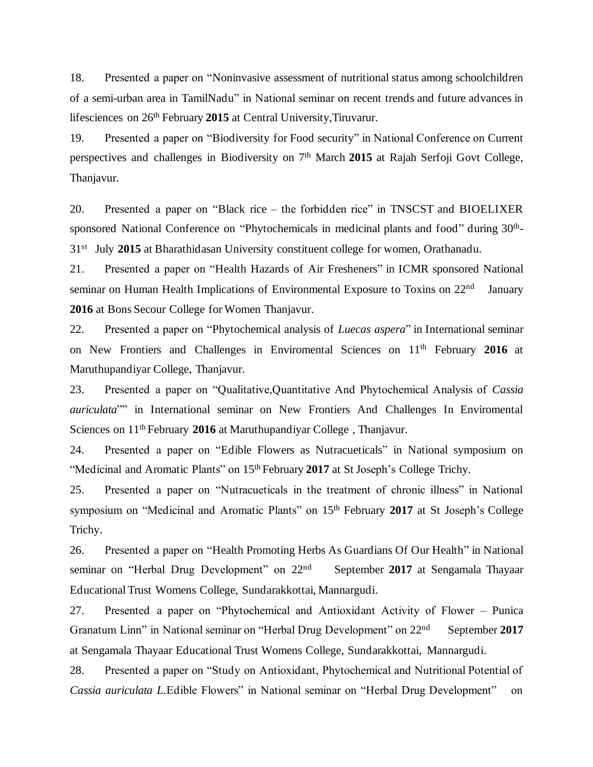18. Presented a paper on "Noninvasive assessment of nutritional status among schoolchildren of a semi-urban area in TamilNadu" in National seminar on recent trends and future advances in lifesciences on 26<sup>th</sup> February 2015 at Central University, Tiruvarur.

19. Presented a paper on "Biodiversity for Food security" in National Conference on Current perspectives and challenges in Biodiversity on 7<sup>th</sup> March 2015 at Rajah Serfoji Govt College, Thanjavur.

20. Presented a paper on "Black rice – the forbidden rice" in TNSCST and BIOELIXER sponsored National Conference on "Phytochemicals in medicinal plants and food" during 30<sup>th</sup>-31<sup>st</sup> July 2015 at Bharathidasan University constituent college for women, Orathanadu.

21. Presented a paper on "Health Hazards of Air Fresheners" in ICMR sponsored National seminar on Human Health Implications of Environmental Exposure to Toxins on 22<sup>nd</sup> January **2016** at Bons Secour College for Women Thanjavur.

22. Presented a paper on "Phytochemical analysis of *Luecas aspera*" in International seminar on New Frontiers and Challenges in Enviromental Sciences on 11th February **2016** at Maruthupandiyar College, Thanjavur.

23. Presented a paper on "Qualitative,Quantitative And Phytochemical Analysis of *Cassia auriculata*"" in International seminar on New Frontiers And Challenges In Enviromental Sciences on 11th February **2016** at Maruthupandiyar College , Thanjavur.

24. Presented a paper on "Edible Flowers as Nutracueticals" in National symposium on "Medicinal and Aromatic Plants" on 15<sup>th</sup> February 2017 at St Joseph's College Trichy.

25. Presented a paper on "Nutracueticals in the treatment of chronic illness" in National symposium on "Medicinal and Aromatic Plants" on 15th February **2017** at St Joseph's College Trichy.

26. Presented a paper on "Health Promoting Herbs As Guardians Of Our Health" in National seminar on "Herbal Drug Development" on 22<sup>nd</sup> September **2017** at Sengamala Thayaar Educational Trust Womens College, Sundarakkottai, Mannargudi.

27. Presented a paper on "Phytochemical and Antioxidant Activity of Flower – Punica Granatum Linn" in National seminar on "Herbal Drug Development" on 22nd September **2017** at Sengamala Thayaar Educational Trust Womens College, Sundarakkottai, Mannargudi.

28. Presented a paper on "Study on Antioxidant, Phytochemical and Nutritional Potential of *Cassia auriculata L.*Edible Flowers" in National seminar on "Herbal Drug Development" on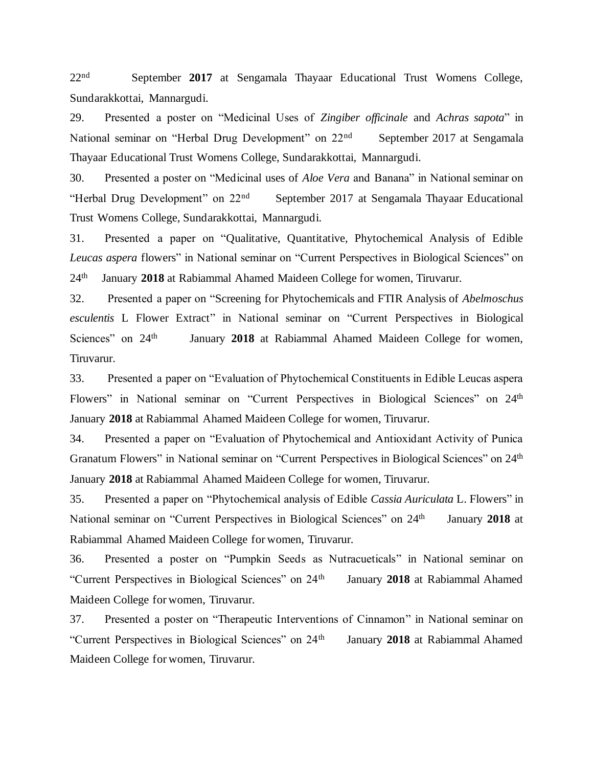$22<sub>nd</sub>$  September **2017** at Sengamala Thayaar Educational Trust Womens College, Sundarakkottai, Mannargudi.

29. Presented a poster on "Medicinal Uses of *Zingiber officinale* and *Achras sapota*" in National seminar on "Herbal Drug Development" on 22nd September 2017 at Sengamala Thayaar Educational Trust Womens College, Sundarakkottai, Mannargudi.

30. Presented a poster on "Medicinal uses of *Aloe Vera* and Banana" in National seminar on "Herbal Drug Development" on 22nd September 2017 at Sengamala Thayaar Educational Trust Womens College, Sundarakkottai, Mannargudi.

31. Presented a paper on "Qualitative, Quantitative, Phytochemical Analysis of Edible *Leucas aspera* flowers" in National seminar on "Current Perspectives in Biological Sciences" on  $24<sup>th</sup>$ January **2018** at Rabiammal Ahamed Maideen College for women, Tiruvarur.

32. Presented a paper on "Screening for Phytochemicals and FTIR Analysis of *Abelmoschus esculentis* L Flower Extract" in National seminar on "Current Perspectives in Biological Sciences" on 24<sup>th</sup> January **2018** at Rabiammal Ahamed Maideen College for women, Tiruvarur.

33. Presented a paper on "Evaluation of Phytochemical Constituents in Edible Leucas aspera Flowers" in National seminar on "Current Perspectives in Biological Sciences" on 24<sup>th</sup> January **2018** at Rabiammal Ahamed Maideen College for women, Tiruvarur.

34. Presented a paper on "Evaluation of Phytochemical and Antioxidant Activity of Punica Granatum Flowers" in National seminar on "Current Perspectives in Biological Sciences" on 24<sup>th</sup> January **2018** at Rabiammal Ahamed Maideen College for women, Tiruvarur.

35. Presented a paper on "Phytochemical analysis of Edible *Cassia Auriculata* L. Flowers" in National seminar on "Current Perspectives in Biological Sciences" on 24<sup>th</sup> January **2018** at Rabiammal Ahamed Maideen College for women, Tiruvarur.

36. Presented a poster on "Pumpkin Seeds as Nutracueticals" in National seminar on "Current Perspectives in Biological Sciences" on 24th January **2018** at Rabiammal Ahamed Maideen College for women, Tiruvarur.

37. Presented a poster on "Therapeutic Interventions of Cinnamon" in National seminar on "Current Perspectives in Biological Sciences" on 24th January **2018** at Rabiammal Ahamed Maideen College for women, Tiruvarur.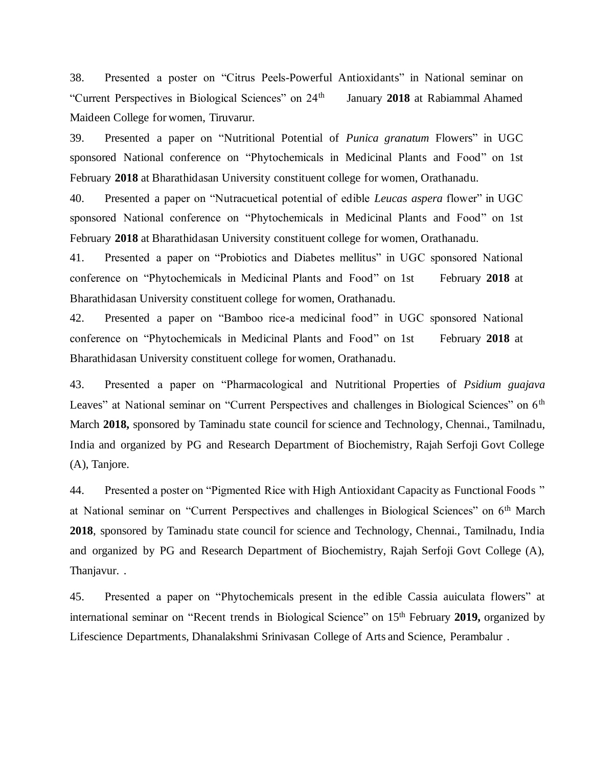38. Presented a poster on "Citrus Peels-Powerful Antioxidants" in National seminar on "Current Perspectives in Biological Sciences" on 24th January **2018** at Rabiammal Ahamed Maideen College for women, Tiruvarur.

39. Presented a paper on "Nutritional Potential of *Punica granatum* Flowers" in UGC sponsored National conference on "Phytochemicals in Medicinal Plants and Food" on 1st February **2018** at Bharathidasan University constituent college for women, Orathanadu.

40. Presented a paper on "Nutracuetical potential of edible *Leucas aspera* flower" in UGC sponsored National conference on "Phytochemicals in Medicinal Plants and Food" on 1st February **2018** at Bharathidasan University constituent college for women, Orathanadu.

41. Presented a paper on "Probiotics and Diabetes mellitus" in UGC sponsored National conference on "Phytochemicals in Medicinal Plants and Food" on 1st February **2018** at Bharathidasan University constituent college for women, Orathanadu.

42. Presented a paper on "Bamboo rice-a medicinal food" in UGC sponsored National conference on "Phytochemicals in Medicinal Plants and Food" on 1st February **2018** at Bharathidasan University constituent college for women, Orathanadu.

43. Presented a paper on "Pharmacological and Nutritional Properties of *Psidium guajava* Leaves" at National seminar on "Current Perspectives and challenges in Biological Sciences" on 6<sup>th</sup> March **2018,** sponsored by Taminadu state council for science and Technology, Chennai., Tamilnadu, India and organized by PG and Research Department of Biochemistry, Rajah Serfoji Govt College (A), Tanjore.

44. Presented a poster on "Pigmented Rice with High Antioxidant Capacity as Functional Foods " at National seminar on "Current Perspectives and challenges in Biological Sciences" on 6th March **2018**, sponsored by Taminadu state council for science and Technology, Chennai., Tamilnadu, India and organized by PG and Research Department of Biochemistry, Rajah Serfoji Govt College (A), Thanjavur. .

45. Presented a paper on "Phytochemicals present in the edible Cassia auiculata flowers" at international seminar on "Recent trends in Biological Science" on 15th February **2019,** organized by Lifescience Departments, Dhanalakshmi Srinivasan College of Arts and Science, Perambalur .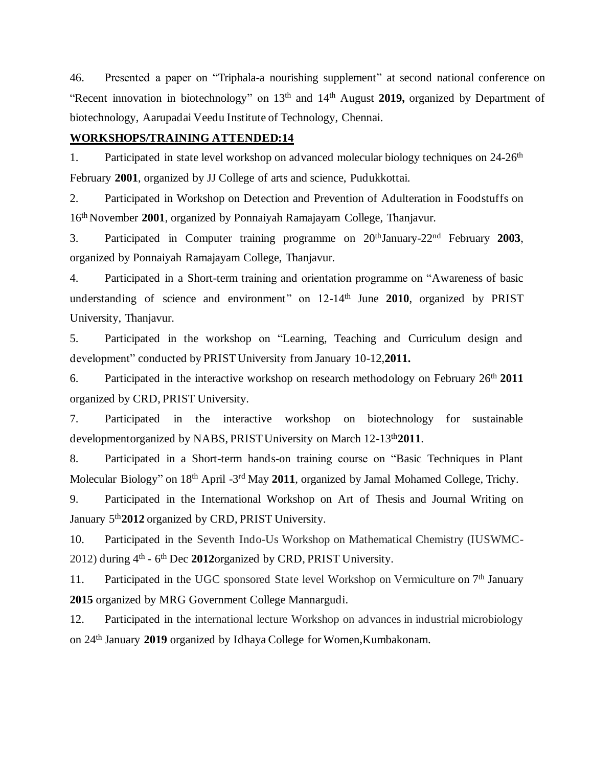46. Presented a paper on "Triphala-a nourishing supplement" at second national conference on "Recent innovation in biotechnology" on 13th and 14th August **2019,** organized by Department of biotechnology, Aarupadai Veedu Institute of Technology, Chennai.

### **WORKSHOPS/TRAINING ATTENDED:14**

1. Participated in state level workshop on advanced molecular biology techniques on 24-26<sup>th</sup> February **2001**, organized by JJ College of arts and science, Pudukkottai.

2. Participated in Workshop on Detection and Prevention of Adulteration in Foodstuffs on 16th November **2001**, organized by Ponnaiyah Ramajayam College, Thanjavur.

3. Participated in Computer training programme on 20thJanuary-22nd February **2003**, organized by Ponnaiyah Ramajayam College, Thanjavur.

4. Participated in a Short-term training and orientation programme on "Awareness of basic understanding of science and environment" on 12-14th June **2010**, organized by PRIST University, Thanjavur.

5. Participated in the workshop on "Learning, Teaching and Curriculum design and development" conducted by PRIST University from January 10-12,**2011.**

6. Participated in the interactive workshop on research methodology on February 26th **2011** organized by CRD, PRIST University.

7. Participated in the interactive workshop on biotechnology for sustainable developmentorganized by NABS, PRIST University on March 12-13th**2011**.

8. Participated in a Short-term hands-on training course on "Basic Techniques in Plant Molecular Biology" on 18<sup>th</sup> April -3<sup>rd</sup> May 2011, organized by Jamal Mohamed College, Trichy.

9. Participated in the International Workshop on Art of Thesis and Journal Writing on January 5th**2012** organized by CRD, PRIST University.

10. Participated in the Seventh Indo-Us Workshop on Mathematical Chemistry (IUSWMC-2012) during 4<sup>th</sup> - 6<sup>th</sup> Dec 2012organized by CRD, PRIST University.

11. Participated in the UGC sponsored State level Workshop on Vermiculture on  $7<sup>th</sup>$  January **2015** organized by MRG Government College Mannargudi.

12. Participated in the international lecture Workshop on advances in industrial microbiology on 24th January **2019** organized by Idhaya College for Women,Kumbakonam.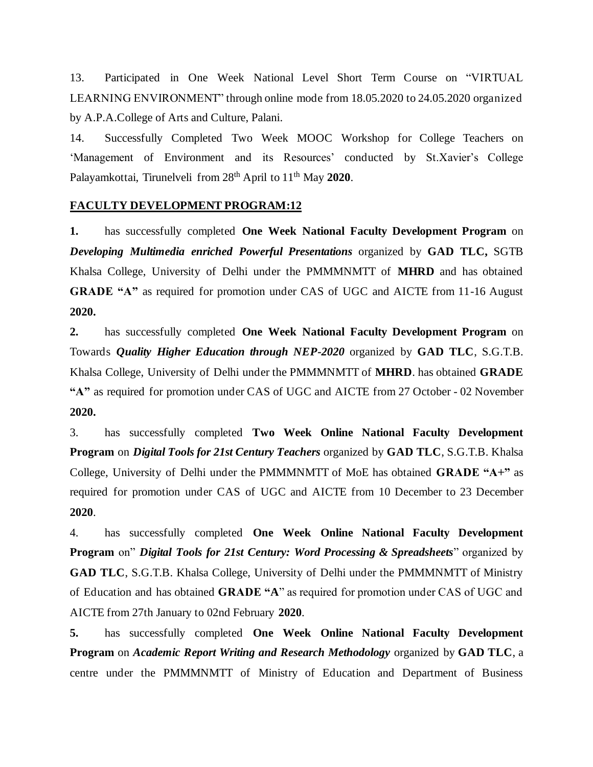13. Participated in One Week National Level Short Term Course on "VIRTUAL LEARNING ENVIRONMENT" through online mode from 18.05.2020 to 24.05.2020 organized by A.P.A.College of Arts and Culture, Palani.

14. Successfully Completed Two Week MOOC Workshop for College Teachers on 'Management of Environment and its Resources' conducted by St.Xavier's College Palayamkottai, Tirunelveli from 28th April to 11th May **2020**.

### **FACULTY DEVELOPMENT PROGRAM:12**

**1.** has successfully completed **One Week National Faculty Development Program** on *Developing Multimedia enriched Powerful Presentations* organized by **GAD TLC,** SGTB Khalsa College, University of Delhi under the PMMMNMTT of **MHRD** and has obtained **GRADE "A"** as required for promotion under CAS of UGC and AICTE from 11-16 August **2020.**

**2.** has successfully completed **One Week National Faculty Development Program** on Towards *Quality Higher Education through NEP-2020* organized by **GAD TLC**, S.G.T.B. Khalsa College, University of Delhi under the PMMMNMTT of **MHRD**. has obtained **GRADE "A"** as required for promotion under CAS of UGC and AICTE from 27 October - 02 November **2020.**

3. has successfully completed **Two Week Online National Faculty Development Program** on *Digital Tools for 21st Century Teachers* organized by **GAD TLC**, S.G.T.B. Khalsa College, University of Delhi under the PMMMNMTT of MoE has obtained **GRADE "A+"** as required for promotion under CAS of UGC and AICTE from 10 December to 23 December **2020**.

4. has successfully completed **One Week Online National Faculty Development Program** on" *Digital Tools for 21st Century: Word Processing & Spreadsheets*" organized by **GAD TLC**, S.G.T.B. Khalsa College, University of Delhi under the PMMMNMTT of Ministry of Education and has obtained **GRADE "A**" as required for promotion under CAS of UGC and AICTE from 27th January to 02nd February **2020**.

**5.** has successfully completed **One Week Online National Faculty Development Program** on *Academic Report Writing and Research Methodology* organized by **GAD TLC**, a centre under the PMMMNMTT of Ministry of Education and Department of Business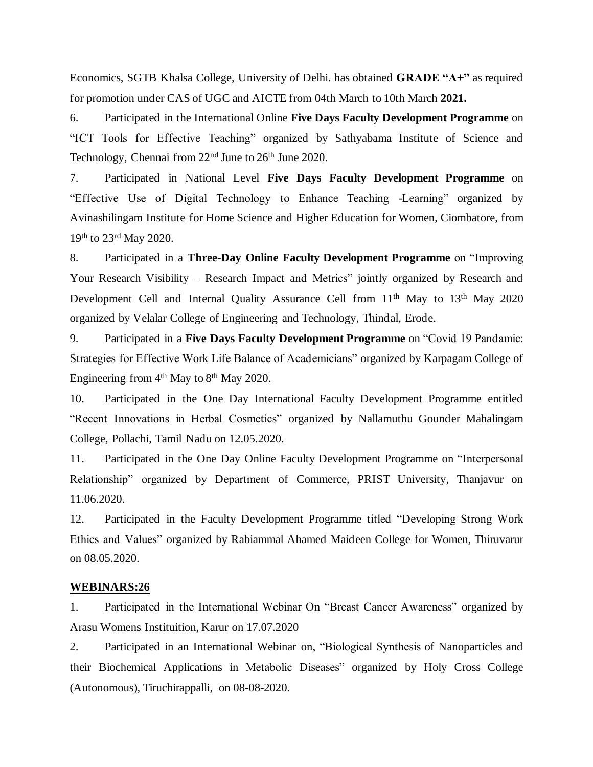Economics, SGTB Khalsa College, University of Delhi. has obtained **GRADE "A+"** as required for promotion under CAS of UGC and AICTE from 04th March to 10th March **2021.**

6. Participated in the International Online **Five Days Faculty Development Programme** on "ICT Tools for Effective Teaching" organized by Sathyabama Institute of Science and Technology, Chennai from  $22<sup>nd</sup>$  June to  $26<sup>th</sup>$  June 2020.

7. Participated in National Level **Five Days Faculty Development Programme** on "Effective Use of Digital Technology to Enhance Teaching -Learning" organized by Avinashilingam Institute for Home Science and Higher Education for Women, Ciombatore, from 19th to 23rd May 2020.

8. Participated in a **Three-Day Online Faculty Development Programme** on "Improving Your Research Visibility – Research Impact and Metrics" jointly organized by Research and Development Cell and Internal Quality Assurance Cell from 11<sup>th</sup> May to 13<sup>th</sup> May 2020 organized by Velalar College of Engineering and Technology, Thindal, Erode.

9. Participated in a **Five Days Faculty Development Programme** on "Covid 19 Pandamic: Strategies for Effective Work Life Balance of Academicians" organized by Karpagam College of Engineering from  $4<sup>th</sup>$  May to  $8<sup>th</sup>$  May 2020.

10. Participated in the One Day International Faculty Development Programme entitled "Recent Innovations in Herbal Cosmetics" organized by Nallamuthu Gounder Mahalingam College, Pollachi, Tamil Nadu on 12.05.2020.

11. Participated in the One Day Online Faculty Development Programme on "Interpersonal Relationship" organized by Department of Commerce, PRIST University, Thanjavur on 11.06.2020.

12. Participated in the Faculty Development Programme titled "Developing Strong Work Ethics and Values" organized by Rabiammal Ahamed Maideen College for Women, Thiruvarur on 08.05.2020.

#### **WEBINARS:26**

1. Participated in the International Webinar On "Breast Cancer Awareness" organized by Arasu Womens Instituition, Karur on 17.07.2020

2. Participated in an International Webinar on, "Biological Synthesis of Nanoparticles and their Biochemical Applications in Metabolic Diseases" organized by Holy Cross College (Autonomous), Tiruchirappalli, on 08-08-2020.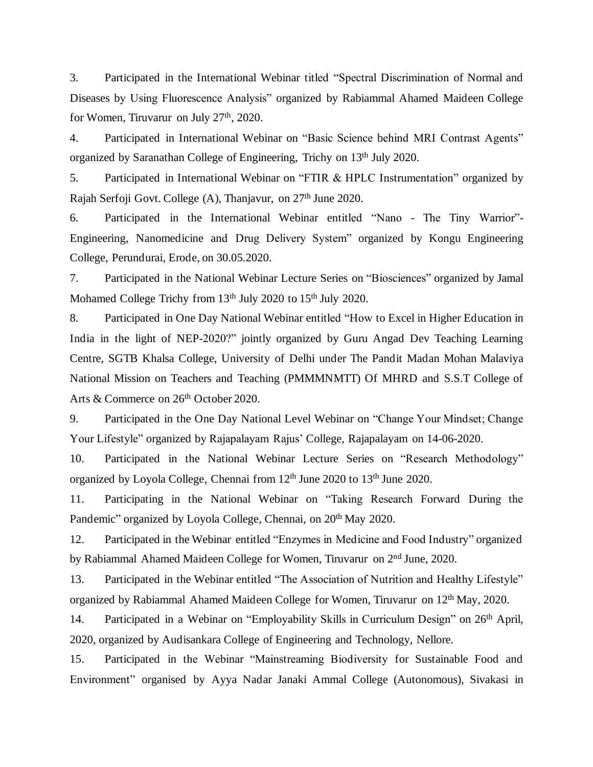3. Participated in the International Webinar titled "Spectral Discrimination of Normal and Diseases by Using Fluorescence Analysis" organized by Rabiammal Ahamed Maideen College for Women, Tiruvarur on July 27<sup>th</sup>, 2020.

4. Participated in International Webinar on "Basic Science behind MRI Contrast Agents" organized by Saranathan College of Engineering, Trichy on 13th July 2020.

5. Participated in International Webinar on "FTIR & HPLC Instrumentation" organized by Rajah Serfoji Govt. College (A), Thanjavur, on 27th June 2020.

6. Participated in the International Webinar entitled "Nano - The Tiny Warrior"- Engineering, Nanomedicine and Drug Delivery System" organized by Kongu Engineering College, Perundurai, Erode, on 30.05.2020.

7. Participated in the National Webinar Lecture Series on "Biosciences" organized by Jamal Mohamed College Trichy from 13<sup>th</sup> July 2020 to 15<sup>th</sup> July 2020.

8. Participated in One Day National Webinar entitled "How to Excel in Higher Education in India in the light of NEP-2020?" jointly organized by Guru Angad Dev Teaching Learning Centre, SGTB Khalsa College, University of Delhi under The Pandit Madan Mohan Malaviya National Mission on Teachers and Teaching (PMMMNMTT) Of MHRD and S.S.T College of Arts & Commerce on 26<sup>th</sup> October 2020.

9. Participated in the One Day National Level Webinar on "Change Your Mindset; Change Your Lifestyle" organized by Rajapalayam Rajus' College, Rajapalayam on 14-06-2020.

10. Participated in the National Webinar Lecture Series on "Research Methodology" organized by Loyola College, Chennai from 12<sup>th</sup> June 2020 to 13<sup>th</sup> June 2020.

11. Participating in the National Webinar on "Taking Research Forward During the Pandemic" organized by Loyola College, Chennai, on 20<sup>th</sup> May 2020.

12. Participated in the Webinar entitled "Enzymes in Medicine and Food Industry" organized by Rabiammal Ahamed Maideen College for Women, Tiruvarur on 2nd June, 2020.

13. Participated in the Webinar entitled "The Association of Nutrition and Healthy Lifestyle" organized by Rabiammal Ahamed Maideen College for Women, Tiruvarur on 12th May, 2020.

14. Participated in a Webinar on "Employability Skills in Curriculum Design" on 26<sup>th</sup> April, 2020, organized by Audisankara College of Engineering and Technology, Nellore.

15. Participated in the Webinar "Mainstreaming Biodiversity for Sustainable Food and Environment" organised by Ayya Nadar Janaki Ammal College (Autonomous), Sivakasi in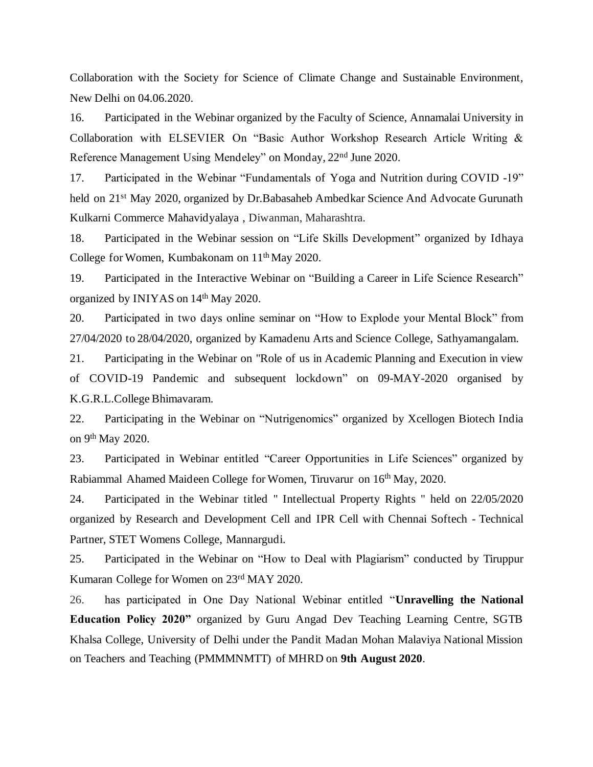Collaboration with the Society for Science of Climate Change and Sustainable Environment, New Delhi on 04.06.2020.

16. Participated in the Webinar organized by the Faculty of Science, Annamalai University in Collaboration with ELSEVIER On "Basic Author Workshop Research Article Writing & Reference Management Using Mendeley" on Monday, 22nd June 2020.

17. Participated in the Webinar "Fundamentals of Yoga and Nutrition during COVID -19" held on 21<sup>st</sup> May 2020, organized by Dr.Babasaheb Ambedkar Science And Advocate Gurunath Kulkarni Commerce Mahavidyalaya , Diwanman, Maharashtra.

18. Participated in the Webinar session on "Life Skills Development" organized by Idhaya College for Women, Kumbakonam on 11th May 2020.

19. Participated in the Interactive Webinar on "Building a Career in Life Science Research" organized by INIYAS on 14th May 2020.

20. Participated in two days online seminar on "How to Explode your Mental Block" from 27/04/2020 to 28/04/2020, organized by Kamadenu Arts and Science College, Sathyamangalam.

21. Participating in the Webinar on "Role of us in Academic Planning and Execution in view of COVID-19 Pandemic and subsequent lockdown" on 09-MAY-2020 organised by K.G.R.L.College Bhimavaram.

22. Participating in the Webinar on "Nutrigenomics" organized by Xcellogen Biotech India on 9th May 2020.

23. Participated in Webinar entitled "Career Opportunities in Life Sciences" organized by Rabiammal Ahamed Maideen College for Women, Tiruvarur on 16th May, 2020.

24. Participated in the Webinar titled " Intellectual Property Rights " held on 22/05/2020 organized by Research and Development Cell and IPR Cell with Chennai Softech - Technical Partner, STET Womens College, Mannargudi.

25. Participated in the Webinar on "How to Deal with Plagiarism" conducted by Tiruppur Kumaran College for Women on 23rd MAY 2020.

26. has participated in One Day National Webinar entitled "**Unravelling the National Education Policy 2020"** organized by Guru Angad Dev Teaching Learning Centre, SGTB Khalsa College, University of Delhi under the Pandit Madan Mohan Malaviya National Mission on Teachers and Teaching (PMMMNMTT) of MHRD on **9th August 2020**.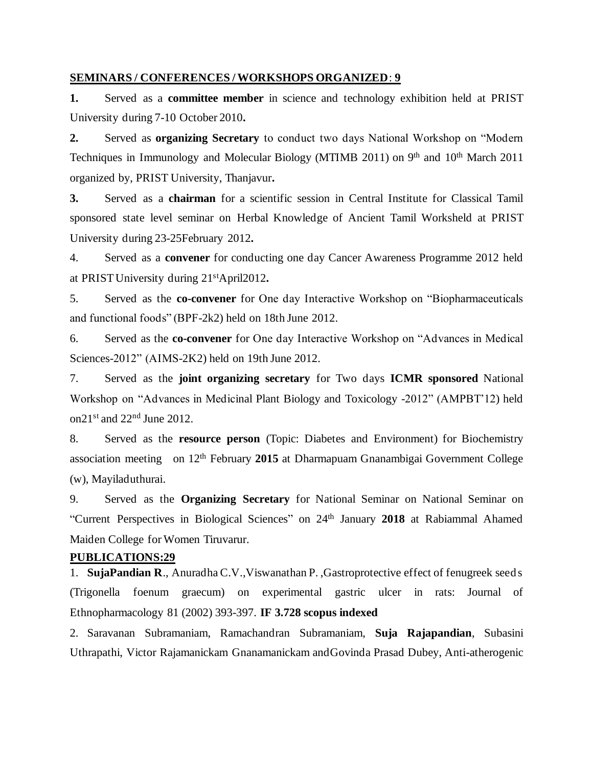#### **SEMINARS / CONFERENCES / WORKSHOPS ORGANIZED**: **9**

**1.** Served as a **committee member** in science and technology exhibition held at PRIST University during 7-10 October 2010**.**

**2.** Served as **organizing Secretary** to conduct two days National Workshop on "Modern Techniques in Immunology and Molecular Biology (MTIMB 2011) on 9<sup>th</sup> and 10<sup>th</sup> March 2011 organized by, PRIST University, Thanjavur**.**

**3.** Served as a **chairman** for a scientific session in Central Institute for Classical Tamil sponsored state level seminar on Herbal Knowledge of Ancient Tamil Worksheld at PRIST University during 23-25February 2012**.**

4. Served as a **convener** for conducting one day Cancer Awareness Programme 2012 held at PRIST University during 21stApril2012**.**

5. Served as the **co-convener** for One day Interactive Workshop on "Biopharmaceuticals and functional foods" (BPF-2k2) held on 18th June 2012.

6. Served as the **co-convener** for One day Interactive Workshop on "Advances in Medical Sciences-2012" (AIMS-2K2) held on 19th June 2012.

7. Served as the **joint organizing secretary** for Two days **ICMR sponsored** National Workshop on "Advances in Medicinal Plant Biology and Toxicology -2012" (AMPBT'12) held on21st and 22nd June 2012.

8. Served as the **resource person** (Topic: Diabetes and Environment) for Biochemistry association meeting on 12th February **2015** at Dharmapuam Gnanambigai Government College (w), Mayiladuthurai.

9. Served as the **Organizing Secretary** for National Seminar on National Seminar on "Current Perspectives in Biological Sciences" on 24th January **2018** at Rabiammal Ahamed Maiden College for Women Tiruvarur.

#### **PUBLICATIONS:29**

1. **SujaPandian R**., Anuradha C.V.,Viswanathan P. ,Gastroprotective effect of fenugreek seeds (Trigonella foenum graecum) on experimental gastric ulcer in rats: Journal of Ethnopharmacology 81 (2002) 393-397. **IF 3.728 scopus indexed**

2. Saravanan Subramaniam, Ramachandran Subramaniam, **Suja Rajapandian**, Subasini Uthrapathi, Victor Rajamanickam Gnanamanickam andGovinda Prasad Dubey, Anti-atherogenic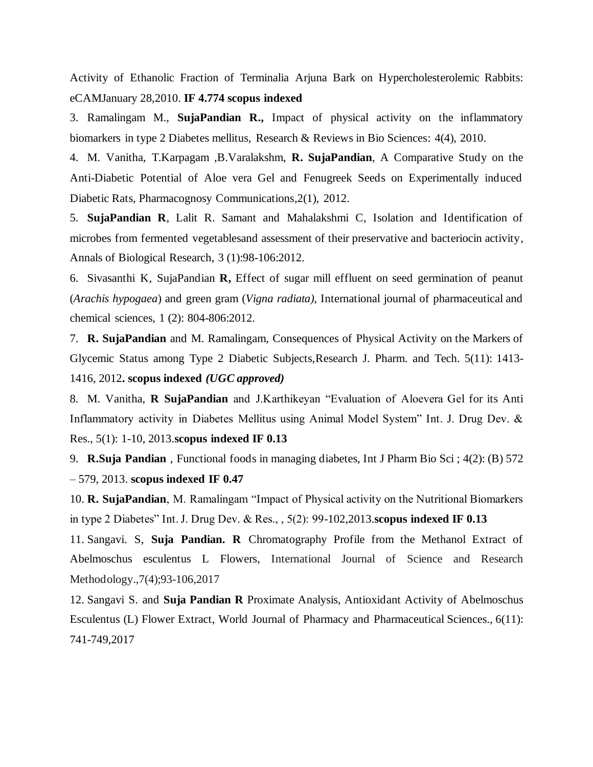Activity of Ethanolic Fraction of Terminalia Arjuna Bark on Hypercholesterolemic Rabbits: eCAMJanuary 28,2010. **IF 4.774 scopus indexed**

3. Ramalingam M., **SujaPandian R.,** Impact of physical activity on the inflammatory biomarkers in type 2 Diabetes mellitus, Research & Reviews in Bio Sciences: 4(4), 2010.

4. M. Vanitha, T.Karpagam ,B.Varalakshm, **R. SujaPandian**, A Comparative Study on the Anti-Diabetic Potential of Aloe vera Gel and Fenugreek Seeds on Experimentally induced Diabetic Rats, Pharmacognosy Communications,2(1), 2012.

5. **SujaPandian R**, Lalit R. Samant and Mahalakshmi C, Isolation and Identification of microbes from fermented vegetablesand assessment of their preservative and bacteriocin activity, Annals of Biological Research, 3 (1):98-106:2012.

6. Sivasanthi K, SujaPandian **R,** Effect of sugar mill effluent on seed germination of peanut (*Arachis hypogaea*) and green gram (*Vigna radiata),* International journal of pharmaceutical and chemical sciences, 1 (2): 804-806:2012.

7. **R. SujaPandian** and M. Ramalingam, Consequences of Physical Activity on the Markers of Glycemic Status among Type 2 Diabetic Subjects,Research J. Pharm. and Tech. 5(11): 1413- 1416, 2012**. scopus indexed** *(UGC approved)*

8. M. Vanitha, **R SujaPandian** and J.Karthikeyan "Evaluation of Aloevera Gel for its Anti Inflammatory activity in Diabetes Mellitus using Animal Model System" Int. J. Drug Dev. & Res., 5(1): 1-10, 2013.**scopus indexed IF 0.13**

9. **R.Suja Pandian** , Functional foods in managing diabetes, Int J Pharm Bio Sci ; 4(2): (B) 572 – 579, 2013. **scopus indexed IF 0.47**

10. **R. SujaPandian**, M. Ramalingam "Impact of Physical activity on the Nutritional Biomarkers in type 2 Diabetes" Int. J. Drug Dev. & Res., , 5(2): 99-102,2013.**scopus indexed IF 0.13**

11. Sangavi. S, **Suja Pandian. R** Chromatography Profile from the Methanol Extract of Abelmoschus esculentus L Flowers, International Journal of Science and Research Methodology.,7(4);93-106,2017

12. Sangavi S. and **Suja Pandian R** Proximate Analysis, Antioxidant Activity of Abelmoschus Esculentus (L) Flower Extract, World Journal of Pharmacy and Pharmaceutical Sciences., 6(11): 741-749,2017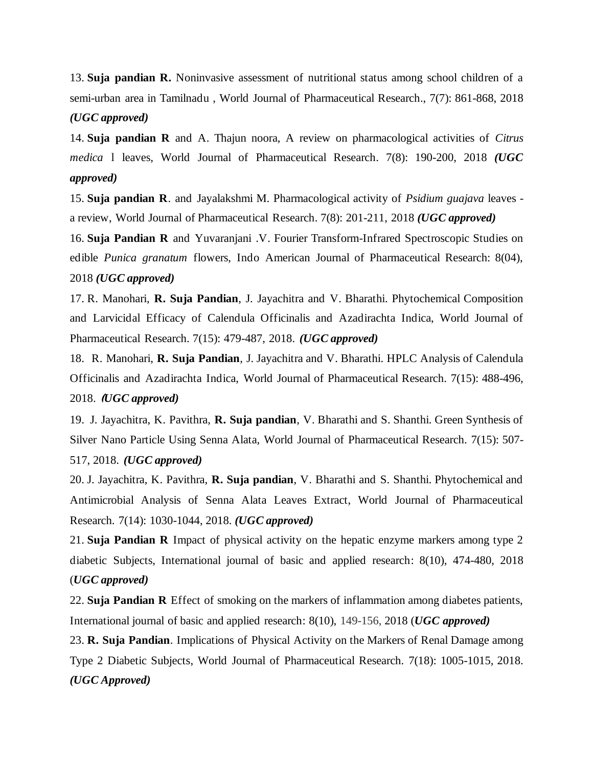13. **Suja pandian R.** Noninvasive assessment of nutritional status among school children of a semi-urban area in Tamilnadu , World Journal of Pharmaceutical Research., 7(7): 861-868, 2018 *(UGC approved)*

14. **Suja pandian R** and A. Thajun noora, A review on pharmacological activities of *Citrus medica* l leaves, World Journal of Pharmaceutical Research. 7(8): 190-200, 2018 *(UGC approved)*

15. **Suja pandian R**. and Jayalakshmi M. Pharmacological activity of *Psidium guajava* leaves a review, World Journal of Pharmaceutical Research. 7(8): 201-211, 2018 *(UGC approved)*

16. **Suja Pandian R** and Yuvaranjani .V. Fourier Transform-Infrared Spectroscopic Studies on edible *Punica granatum* flowers, Indo American Journal of Pharmaceutical Research: 8(04), 2018 *(UGC approved)*

17. R. Manohari, **R. Suja Pandian**, J. Jayachitra and V. Bharathi. Phytochemical Composition and Larvicidal Efficacy of Calendula Officinalis and Azadirachta Indica, World Journal of Pharmaceutical Research. 7(15): 479-487, 2018. *(UGC approved)*

18. R. Manohari, **R. Suja Pandian**, J. Jayachitra and V. Bharathi. HPLC Analysis of Calendula Officinalis and Azadirachta Indica, World Journal of Pharmaceutical Research. 7(15): 488-496, 2018. (*UGC approved)*

19. J. Jayachitra, K. Pavithra, **R. Suja pandian**, V. Bharathi and S. Shanthi. Green Synthesis of Silver Nano Particle Using Senna Alata, World Journal of Pharmaceutical Research. 7(15): 507- 517, 2018. *(UGC approved)*

20. J. Jayachitra, K. Pavithra, **R. Suja pandian**, V. Bharathi and S. Shanthi. Phytochemical and Antimicrobial Analysis of Senna Alata Leaves Extract, World Journal of Pharmaceutical Research. 7(14): 1030-1044, 2018. *(UGC approved)*

21. **Suja Pandian R** Impact of physical activity on the hepatic enzyme markers among type 2 diabetic Subjects, International journal of basic and applied research: 8(10), 474-480, 2018 (*UGC approved)*

22. **Suja Pandian R** Effect of smoking on the markers of inflammation among diabetes patients, International journal of basic and applied research: 8(10), 149-156, 2018 (*UGC approved)*

23. **R. Suja Pandian**. Implications of Physical Activity on the Markers of Renal Damage among Type 2 Diabetic Subjects, World Journal of Pharmaceutical Research. 7(18): 1005-1015, 2018. *(UGC Approved)*